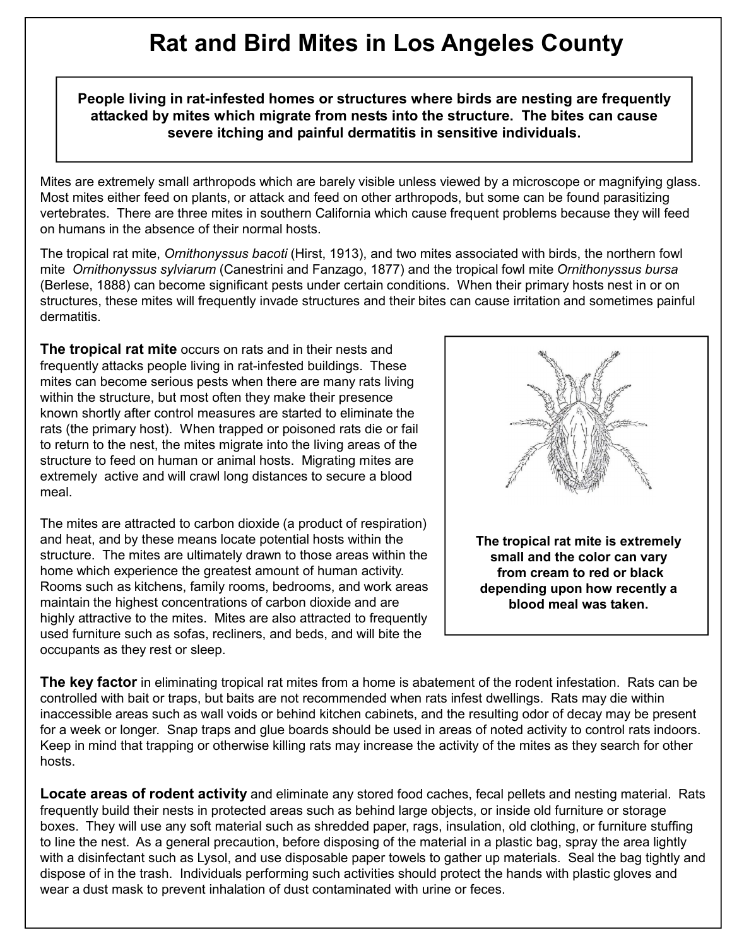## **Rat and Bird Mites in Los Angeles County**

**People living in rat-infested homes or structures where birds are nesting are frequently attacked by mites which migrate from nests into the structure. The bites can cause severe itching and painful dermatitis in sensitive individuals.**

Mites are extremely small arthropods which are barely visible unless viewed by a microscope or magnifying glass. Most mites either feed on plants, or attack and feed on other arthropods, but some can be found parasitizing vertebrates. There are three mites in southern California which cause frequent problems because they will feed on humans in the absence of their normal hosts.

The tropical rat mite, *Ornithonyssus bacoti* (Hirst, 1913), and two mites associated with birds, the northern fowl mite *Ornithonyssus sylviarum* (Canestrini and Fanzago, 1877) and the tropical fowl mite *Ornithonyssus bursa* (Berlese, 1888) can become significant pests under certain conditions. When their primary hosts nest in or on structures, these mites will frequently invade structures and their bites can cause irritation and sometimes painful dermatitis.

**The tropical rat mite** occurs on rats and in their nests and frequently attacks people living in rat-infested buildings. These mites can become serious pests when there are many rats living within the structure, but most often they make their presence known shortly after control measures are started to eliminate the rats (the primary host). When trapped or poisoned rats die or fail to return to the nest, the mites migrate into the living areas of the structure to feed on human or animal hosts. Migrating mites are extremely active and will crawl long distances to secure a blood meal.

The mites are attracted to carbon dioxide (a product of respiration) and heat, and by these means locate potential hosts within the structure. The mites are ultimately drawn to those areas within the home which experience the greatest amount of human activity. Rooms such as kitchens, family rooms, bedrooms, and work areas maintain the highest concentrations of carbon dioxide and are highly attractive to the mites. Mites are also attracted to frequently used furniture such as sofas, recliners, and beds, and will bite the occupants as they rest or sleep.



**The key factor** in eliminating tropical rat mites from a home is abatement of the rodent infestation. Rats can be controlled with bait or traps, but baits are not recommended when rats infest dwellings. Rats may die within inaccessible areas such as wall voids or behind kitchen cabinets, and the resulting odor of decay may be present for a week or longer. Snap traps and glue boards should be used in areas of noted activity to control rats indoors. Keep in mind that trapping or otherwise killing rats may increase the activity of the mites as they search for other hosts.

**Locate areas of rodent activity** and eliminate any stored food caches, fecal pellets and nesting material. Rats frequently build their nests in protected areas such as behind large objects, or inside old furniture or storage boxes. They will use any soft material such as shredded paper, rags, insulation, old clothing, or furniture stuffing to line the nest. As a general precaution, before disposing of the material in a plastic bag, spray the area lightly with a disinfectant such as Lysol, and use disposable paper towels to gather up materials. Seal the bag tightly and dispose of in the trash. Individuals performing such activities should protect the hands with plastic gloves and wear a dust mask to prevent inhalation of dust contaminated with urine or feces.